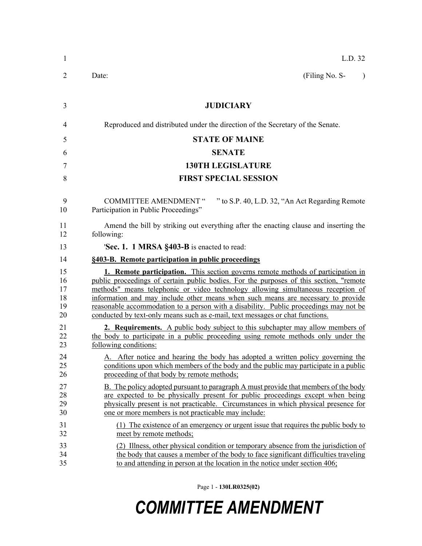| $\mathbf{1}$                     | L.D. 32                                                                                                                                                                                                                                                                                                                                                                                                                                                                                                                             |
|----------------------------------|-------------------------------------------------------------------------------------------------------------------------------------------------------------------------------------------------------------------------------------------------------------------------------------------------------------------------------------------------------------------------------------------------------------------------------------------------------------------------------------------------------------------------------------|
| 2                                | (Filing No. S-<br>Date:<br>$\lambda$                                                                                                                                                                                                                                                                                                                                                                                                                                                                                                |
| 3                                | <b>JUDICIARY</b>                                                                                                                                                                                                                                                                                                                                                                                                                                                                                                                    |
| 4                                | Reproduced and distributed under the direction of the Secretary of the Senate.                                                                                                                                                                                                                                                                                                                                                                                                                                                      |
| 5                                | <b>STATE OF MAINE</b>                                                                                                                                                                                                                                                                                                                                                                                                                                                                                                               |
| 6                                | <b>SENATE</b>                                                                                                                                                                                                                                                                                                                                                                                                                                                                                                                       |
| $\tau$                           | <b>130TH LEGISLATURE</b>                                                                                                                                                                                                                                                                                                                                                                                                                                                                                                            |
| 8                                | <b>FIRST SPECIAL SESSION</b>                                                                                                                                                                                                                                                                                                                                                                                                                                                                                                        |
| 9<br>10                          | <b>COMMITTEE AMENDMENT "</b><br>" to S.P. 40, L.D. 32, "An Act Regarding Remote<br>Participation in Public Proceedings"                                                                                                                                                                                                                                                                                                                                                                                                             |
| 11<br>12                         | Amend the bill by striking out everything after the enacting clause and inserting the<br>following:                                                                                                                                                                                                                                                                                                                                                                                                                                 |
| 13                               | 'Sec. 1. 1 MRSA §403-B is enacted to read:                                                                                                                                                                                                                                                                                                                                                                                                                                                                                          |
| 14                               | §403-B. Remote participation in public proceedings                                                                                                                                                                                                                                                                                                                                                                                                                                                                                  |
| 15<br>16<br>17<br>18<br>19<br>20 | <b>1. Remote participation.</b> This section governs remote methods of participation in<br>public proceedings of certain public bodies. For the purposes of this section, "remote<br>methods" means telephonic or video technology allowing simultaneous reception of<br>information and may include other means when such means are necessary to provide<br>reasonable accommodation to a person with a disability. Public proceedings may not be<br>conducted by text-only means such as e-mail, text messages or chat functions. |
| 21<br>22<br>23                   | <b>2. Requirements.</b> A public body subject to this subchapter may allow members of<br>the body to participate in a public proceeding using remote methods only under the<br>following conditions:                                                                                                                                                                                                                                                                                                                                |
| 24<br>25<br>26                   | A. After notice and hearing the body has adopted a written policy governing the<br>conditions upon which members of the body and the public may participate in a public<br>proceeding of that body by remote methods;                                                                                                                                                                                                                                                                                                               |
| 27<br>28<br>29<br>30             | B. The policy adopted pursuant to paragraph A must provide that members of the body<br>are expected to be physically present for public proceedings except when being<br>physically present is not practicable. Circumstances in which physical presence for<br>one or more members is not practicable may include:                                                                                                                                                                                                                 |
| 31<br>32                         | (1) The existence of an emergency or urgent issue that requires the public body to<br>meet by remote methods;                                                                                                                                                                                                                                                                                                                                                                                                                       |
| 33<br>34<br>35                   | (2) Illness, other physical condition or temporary absence from the jurisdiction of<br>the body that causes a member of the body to face significant difficulties traveling<br>to and attending in person at the location in the notice under section 406;                                                                                                                                                                                                                                                                          |

Page 1 - **130LR0325(02)**

## *COMMITTEE AMENDMENT*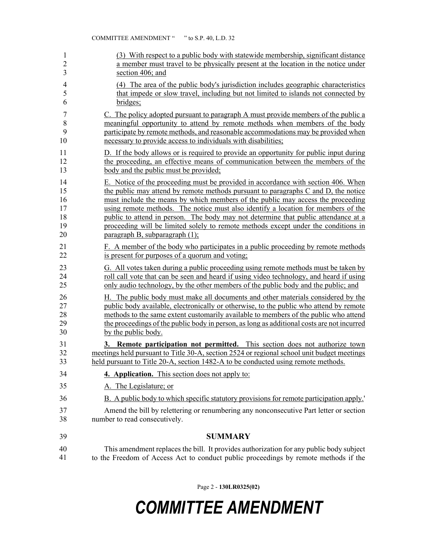| 1              | (3) With respect to a public body with statewide membership, significant distance          |
|----------------|--------------------------------------------------------------------------------------------|
| $\overline{2}$ | a member must travel to be physically present at the location in the notice under          |
| 3              | section 406; and                                                                           |
| 4              | (4) The area of the public body's jurisdiction includes geographic characteristics         |
| 5              | that impede or slow travel, including but not limited to islands not connected by          |
| 6              | bridges;                                                                                   |
| 7              | C. The policy adopted pursuant to paragraph A must provide members of the public a         |
| 8              | meaningful opportunity to attend by remote methods when members of the body                |
| 9              | participate by remote methods, and reasonable accommodations may be provided when          |
| 10             | necessary to provide access to individuals with disabilities;                              |
| 11             | D. If the body allows or is required to provide an opportunity for public input during     |
| 12             | the proceeding, an effective means of communication between the members of the             |
| 13             | body and the public must be provided;                                                      |
| 14             | E. Notice of the proceeding must be provided in accordance with section 406. When          |
| 15             | the public may attend by remote methods pursuant to paragraphs C and D, the notice         |
| 16             | must include the means by which members of the public may access the proceeding            |
| 17             | using remote methods. The notice must also identify a location for members of the          |
| 18             | public to attend in person. The body may not determine that public attendance at a         |
| 19             | proceeding will be limited solely to remote methods except under the conditions in         |
| 20             | paragraph B, subparagraph (1);                                                             |
| 21             | F. A member of the body who participates in a public proceeding by remote methods          |
| 22             | is present for purposes of a quorum and voting;                                            |
| 23             | G. All votes taken during a public proceeding using remote methods must be taken by        |
| 24             | roll call vote that can be seen and heard if using video technology, and heard if using    |
| 25             | only audio technology, by the other members of the public body and the public; and         |
| 26             | H. The public body must make all documents and other materials considered by the           |
| 27             | public body available, electronically or otherwise, to the public who attend by remote     |
| 28             | methods to the same extent customarily available to members of the public who attend       |
| 29             | the proceedings of the public body in person, as long as additional costs are not incurred |
| 30             | by the public body.                                                                        |
| 31             | 3. Remote participation not permitted. This section does not authorize town                |
| 32             | meetings held pursuant to Title 30-A, section 2524 or regional school unit budget meetings |
| 33             | held pursuant to Title 20-A, section 1482-A to be conducted using remote methods.          |
| 34             | 4. Application. This section does not apply to:                                            |
| 35             | A. The Legislature; or                                                                     |
| 36             | B. A public body to which specific statutory provisions for remote participation apply.'   |
| 37             | Amend the bill by relettering or renumbering any nonconsecutive Part letter or section     |
| 38             | number to read consecutively.                                                              |
| 39             | <b>SUMMARY</b>                                                                             |
| 40             | This amendment replaces the bill. It provides authorization for any public body subject    |
| 41             | to the Freedom of Access Act to conduct public proceedings by remote methods if the        |

Page 2 - **130LR0325(02)**

## *COMMITTEE AMENDMENT*